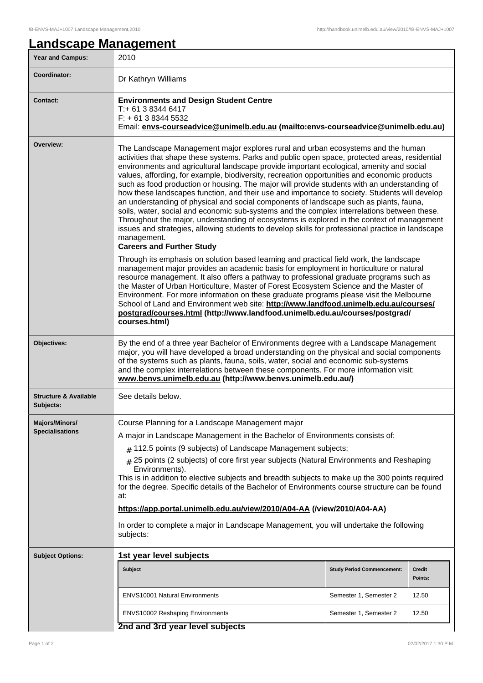| <b>Year and Campus:</b>                                                                                                                                                                                                                                                                                                                                                                                                                                                                                                                                                                                                                                                                                                                                                                                                                                                                                                                                                                                                                     | 2010                                                                                                                                                                                                                                                                                                                                                                                                                                                                                                                                                                                                                                                     |                                   |                          |  |  |
|---------------------------------------------------------------------------------------------------------------------------------------------------------------------------------------------------------------------------------------------------------------------------------------------------------------------------------------------------------------------------------------------------------------------------------------------------------------------------------------------------------------------------------------------------------------------------------------------------------------------------------------------------------------------------------------------------------------------------------------------------------------------------------------------------------------------------------------------------------------------------------------------------------------------------------------------------------------------------------------------------------------------------------------------|----------------------------------------------------------------------------------------------------------------------------------------------------------------------------------------------------------------------------------------------------------------------------------------------------------------------------------------------------------------------------------------------------------------------------------------------------------------------------------------------------------------------------------------------------------------------------------------------------------------------------------------------------------|-----------------------------------|--------------------------|--|--|
| Coordinator:                                                                                                                                                                                                                                                                                                                                                                                                                                                                                                                                                                                                                                                                                                                                                                                                                                                                                                                                                                                                                                | Dr Kathryn Williams                                                                                                                                                                                                                                                                                                                                                                                                                                                                                                                                                                                                                                      |                                   |                          |  |  |
| <b>Contact:</b>                                                                                                                                                                                                                                                                                                                                                                                                                                                                                                                                                                                                                                                                                                                                                                                                                                                                                                                                                                                                                             | <b>Environments and Design Student Centre</b><br>T:+ 61 3 8344 6417<br>$F: +61383445532$<br>Email: envs-courseadvice@unimelb.edu.au (mailto:envs-courseadvice@unimelb.edu.au)                                                                                                                                                                                                                                                                                                                                                                                                                                                                            |                                   |                          |  |  |
| Overview:<br>The Landscape Management major explores rural and urban ecosystems and the human<br>activities that shape these systems. Parks and public open space, protected areas, residential<br>environments and agricultural landscape provide important ecological, amenity and social<br>values, affording, for example, biodiversity, recreation opportunities and economic products<br>such as food production or housing. The major will provide students with an understanding of<br>how these landscapes function, and their use and importance to society. Students will develop<br>an understanding of physical and social components of landscape such as plants, fauna,<br>soils, water, social and economic sub-systems and the complex interrelations between these.<br>Throughout the major, understanding of ecosystems is explored in the context of management<br>issues and strategies, allowing students to develop skills for professional practice in landscape<br>management.<br><b>Careers and Further Study</b> |                                                                                                                                                                                                                                                                                                                                                                                                                                                                                                                                                                                                                                                          |                                   |                          |  |  |
|                                                                                                                                                                                                                                                                                                                                                                                                                                                                                                                                                                                                                                                                                                                                                                                                                                                                                                                                                                                                                                             | Through its emphasis on solution based learning and practical field work, the landscape<br>management major provides an academic basis for employment in horticulture or natural<br>resource management. It also offers a pathway to professional graduate programs such as<br>the Master of Urban Horticulture, Master of Forest Ecosystem Science and the Master of<br>Environment. For more information on these graduate programs please visit the Melbourne<br>School of Land and Environment web site: http://www.landfood.unimelb.edu.au/courses/<br>postgrad/courses.html (http://www.landfood.unimelb.edu.au/courses/postgrad/<br>courses.html) |                                   |                          |  |  |
| Objectives:                                                                                                                                                                                                                                                                                                                                                                                                                                                                                                                                                                                                                                                                                                                                                                                                                                                                                                                                                                                                                                 | By the end of a three year Bachelor of Environments degree with a Landscape Management<br>major, you will have developed a broad understanding on the physical and social components<br>of the systems such as plants, fauna, soils, water, social and economic sub-systems<br>and the complex interrelations between these components. For more information visit:<br>www.benvs.unimelb.edu.au (http://www.benvs.unimelb.edu.au/)                                                                                                                                                                                                                       |                                   |                          |  |  |
| <b>Structure &amp; Available</b><br>Subjects:                                                                                                                                                                                                                                                                                                                                                                                                                                                                                                                                                                                                                                                                                                                                                                                                                                                                                                                                                                                               | See details below.                                                                                                                                                                                                                                                                                                                                                                                                                                                                                                                                                                                                                                       |                                   |                          |  |  |
| <b>Majors/Minors/</b>                                                                                                                                                                                                                                                                                                                                                                                                                                                                                                                                                                                                                                                                                                                                                                                                                                                                                                                                                                                                                       | Course Planning for a Landscape Management major                                                                                                                                                                                                                                                                                                                                                                                                                                                                                                                                                                                                         |                                   |                          |  |  |
| <b>Specialisations</b>                                                                                                                                                                                                                                                                                                                                                                                                                                                                                                                                                                                                                                                                                                                                                                                                                                                                                                                                                                                                                      | A major in Landscape Management in the Bachelor of Environments consists of:                                                                                                                                                                                                                                                                                                                                                                                                                                                                                                                                                                             |                                   |                          |  |  |
|                                                                                                                                                                                                                                                                                                                                                                                                                                                                                                                                                                                                                                                                                                                                                                                                                                                                                                                                                                                                                                             | $#$ 112.5 points (9 subjects) of Landscape Management subjects;                                                                                                                                                                                                                                                                                                                                                                                                                                                                                                                                                                                          |                                   |                          |  |  |
|                                                                                                                                                                                                                                                                                                                                                                                                                                                                                                                                                                                                                                                                                                                                                                                                                                                                                                                                                                                                                                             | 25 points (2 subjects) of core first year subjects (Natural Environments and Reshaping<br>#                                                                                                                                                                                                                                                                                                                                                                                                                                                                                                                                                              |                                   |                          |  |  |
|                                                                                                                                                                                                                                                                                                                                                                                                                                                                                                                                                                                                                                                                                                                                                                                                                                                                                                                                                                                                                                             | Environments).<br>This is in addition to elective subjects and breadth subjects to make up the 300 points required<br>for the degree. Specific details of the Bachelor of Environments course structure can be found<br>at:                                                                                                                                                                                                                                                                                                                                                                                                                              |                                   |                          |  |  |
|                                                                                                                                                                                                                                                                                                                                                                                                                                                                                                                                                                                                                                                                                                                                                                                                                                                                                                                                                                                                                                             | https://app.portal.unimelb.edu.au/view/2010/A04-AA (/view/2010/A04-AA)                                                                                                                                                                                                                                                                                                                                                                                                                                                                                                                                                                                   |                                   |                          |  |  |
|                                                                                                                                                                                                                                                                                                                                                                                                                                                                                                                                                                                                                                                                                                                                                                                                                                                                                                                                                                                                                                             | In order to complete a major in Landscape Management, you will undertake the following<br>subjects:                                                                                                                                                                                                                                                                                                                                                                                                                                                                                                                                                      |                                   |                          |  |  |
| <b>Subject Options:</b>                                                                                                                                                                                                                                                                                                                                                                                                                                                                                                                                                                                                                                                                                                                                                                                                                                                                                                                                                                                                                     | 1st year level subjects                                                                                                                                                                                                                                                                                                                                                                                                                                                                                                                                                                                                                                  |                                   |                          |  |  |
|                                                                                                                                                                                                                                                                                                                                                                                                                                                                                                                                                                                                                                                                                                                                                                                                                                                                                                                                                                                                                                             | <b>Subject</b>                                                                                                                                                                                                                                                                                                                                                                                                                                                                                                                                                                                                                                           | <b>Study Period Commencement:</b> | <b>Credit</b><br>Points: |  |  |
|                                                                                                                                                                                                                                                                                                                                                                                                                                                                                                                                                                                                                                                                                                                                                                                                                                                                                                                                                                                                                                             | <b>ENVS10001 Natural Environments</b>                                                                                                                                                                                                                                                                                                                                                                                                                                                                                                                                                                                                                    | Semester 1, Semester 2            | 12.50                    |  |  |
|                                                                                                                                                                                                                                                                                                                                                                                                                                                                                                                                                                                                                                                                                                                                                                                                                                                                                                                                                                                                                                             | ENVS10002 Reshaping Environments                                                                                                                                                                                                                                                                                                                                                                                                                                                                                                                                                                                                                         | Semester 1, Semester 2            | 12.50                    |  |  |
|                                                                                                                                                                                                                                                                                                                                                                                                                                                                                                                                                                                                                                                                                                                                                                                                                                                                                                                                                                                                                                             | 2nd and 3rd year level subjects                                                                                                                                                                                                                                                                                                                                                                                                                                                                                                                                                                                                                          |                                   |                          |  |  |

## **2nd and 3rd year level subjects**